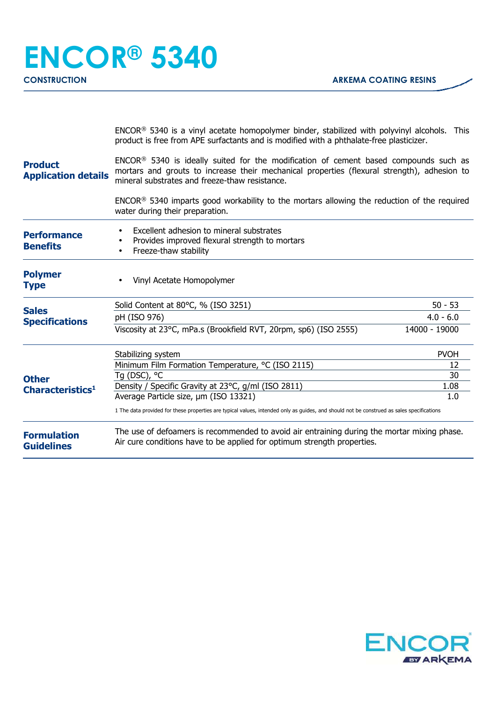|                                              | $ENCOR®$ 5340 is a vinyl acetate homopolymer binder, stabilized with polyvinyl alcohols. This<br>product is free from APE surfactants and is modified with a phthalate-free plasticizer.                                                          |               |  |
|----------------------------------------------|---------------------------------------------------------------------------------------------------------------------------------------------------------------------------------------------------------------------------------------------------|---------------|--|
| <b>Product</b><br><b>Application details</b> | ENCOR <sup>®</sup> 5340 is ideally suited for the modification of cement based compounds such as<br>mortars and grouts to increase their mechanical properties (flexural strength), adhesion to<br>mineral substrates and freeze-thaw resistance. |               |  |
|                                              | $ENCOR®$ 5340 imparts good workability to the mortars allowing the reduction of the required<br>water during their preparation.                                                                                                                   |               |  |
| <b>Performance</b><br><b>Benefits</b>        | Excellent adhesion to mineral substrates<br>Provides improved flexural strength to mortars<br>Freeze-thaw stability<br>٠                                                                                                                          |               |  |
| <b>Polymer</b><br><b>Type</b>                | Vinyl Acetate Homopolymer                                                                                                                                                                                                                         |               |  |
| <b>Sales</b>                                 | Solid Content at 80°C, % (ISO 3251)                                                                                                                                                                                                               | $50 - 53$     |  |
| <b>Specifications</b>                        | pH (ISO 976)                                                                                                                                                                                                                                      | $4.0 - 6.0$   |  |
| <b>Other</b><br>Characteristics <sup>1</sup> | Viscosity at 23°C, mPa.s (Brookfield RVT, 20rpm, sp6) (ISO 2555)                                                                                                                                                                                  | 14000 - 19000 |  |
|                                              | Stabilizing system                                                                                                                                                                                                                                | <b>PVOH</b>   |  |
|                                              | Minimum Film Formation Temperature, °C (ISO 2115)                                                                                                                                                                                                 | 12            |  |
|                                              | Tq (DSC), °C                                                                                                                                                                                                                                      | 30            |  |
|                                              | Density / Specific Gravity at 23°C, g/ml (ISO 2811)                                                                                                                                                                                               | 1.08          |  |
|                                              | Average Particle size, um (ISO 13321)<br>1.0<br>1 The data provided for these properties are typical values, intended only as guides, and should not be construed as sales specifications                                                         |               |  |
| <b>Formulation</b><br><b>Guidelines</b>      | The use of defoamers is recommended to avoid air entraining during the mortar mixing phase.<br>Air cure conditions have to be applied for optimum strength properties.                                                                            |               |  |